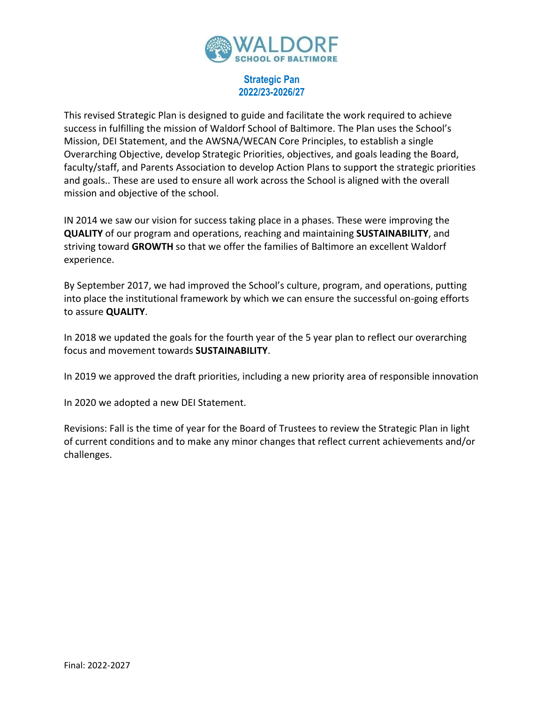

## **Strategic Pan 2022/23-2026/27**

This revised Strategic Plan is designed to guide and facilitate the work required to achieve success in fulfilling the mission of Waldorf School of Baltimore. The Plan uses the School's Mission, DEI Statement, and the AWSNA/WECAN Core Principles, to establish a single Overarching Objective, develop Strategic Priorities, objectives, and goals leading the Board, faculty/staff, and Parents Association to develop Action Plans to support the strategic priorities and goals.. These are used to ensure all work across the School is aligned with the overall mission and objective of the school.

IN 2014 we saw our vision for success taking place in a phases. These were improving the **QUALITY** of our program and operations, reaching and maintaining **SUSTAINABILITY**, and striving toward **GROWTH** so that we offer the families of Baltimore an excellent Waldorf experience.

By September 2017, we had improved the School's culture, program, and operations, putting into place the institutional framework by which we can ensure the successful on-going efforts to assure **QUALITY**.

In 2018 we updated the goals for the fourth year of the 5 year plan to reflect our overarching focus and movement towards **SUSTAINABILITY**.

In 2019 we approved the draft priorities, including a new priority area of responsible innovation

In 2020 we adopted a new DEI Statement.

Revisions: Fall is the time of year for the Board of Trustees to review the Strategic Plan in light of current conditions and to make any minor changes that reflect current achievements and/or challenges.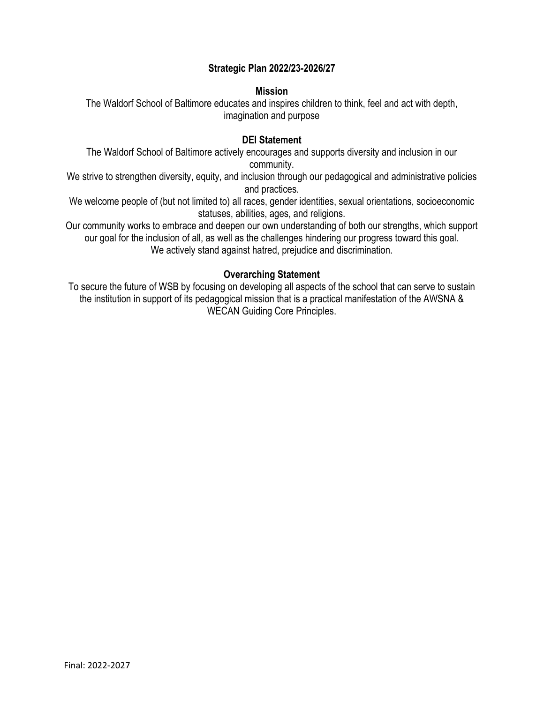# **Strategic Plan 2022/23-2026/27**

#### **Mission**

The Waldorf School of Baltimore educates and inspires children to think, feel and act with depth, imagination and purpose

## **DEI Statement**

The Waldorf School of Baltimore actively encourages and supports diversity and inclusion in our community.

We strive to strengthen diversity, equity, and inclusion through our pedagogical and administrative policies and practices.

We welcome people of (but not limited to) all races, gender identities, sexual orientations, socioeconomic statuses, abilities, ages, and religions.

Our community works to embrace and deepen our own understanding of both our strengths, which support our goal for the inclusion of all, as well as the challenges hindering our progress toward this goal. We actively stand against hatred, prejudice and discrimination.

## **Overarching Statement**

To secure the future of WSB by focusing on developing all aspects of the school that can serve to sustain the institution in support of its pedagogical mission that is a practical manifestation of the AWSNA & WECAN Guiding Core Principles.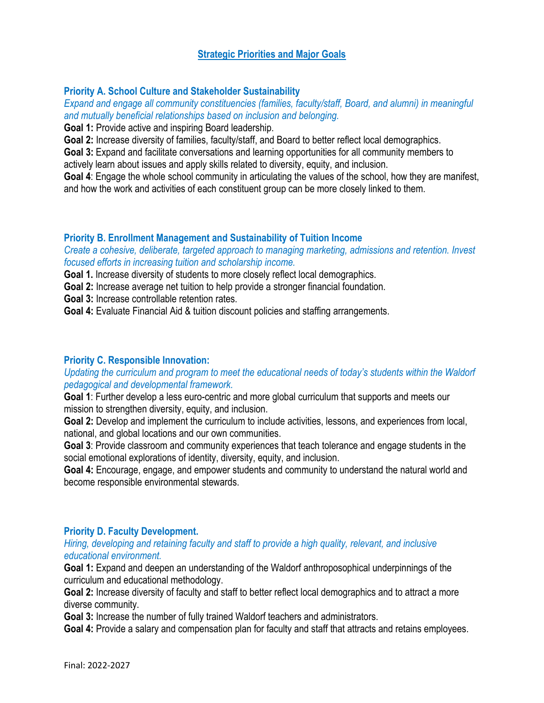# **Strategic Priorities and Major Goals**

## **Priority A. School Culture and Stakeholder Sustainability**

*Expand and engage all community constituencies (families, faculty/staff, Board, and alumni) in meaningful and mutually beneficial relationships based on inclusion and belonging.* 

**Goal 1:** Provide active and inspiring Board leadership.

**Goal 2:** Increase diversity of families, faculty/staff, and Board to better reflect local demographics.

**Goal 3:** Expand and facilitate conversations and learning opportunities for all community members to actively learn about issues and apply skills related to diversity, equity, and inclusion.

**Goal 4**: Engage the whole school community in articulating the values of the school, how they are manifest, and how the work and activities of each constituent group can be more closely linked to them.

## **Priority B. Enrollment Management and Sustainability of Tuition Income**

*Create a cohesive, deliberate, targeted approach to managing marketing, admissions and retention. Invest focused efforts in increasing tuition and scholarship income.* 

**Goal 1.** Increase diversity of students to more closely reflect local demographics.

**Goal 2:** Increase average net tuition to help provide a stronger financial foundation.

**Goal 3:** Increase controllable retention rates.

**Goal 4:** Evaluate Financial Aid & tuition discount policies and staffing arrangements.

#### **Priority C. Responsible Innovation:**

## *Updating the curriculum and program to meet the educational needs of today's students within the Waldorf pedagogical and developmental framework.*

**Goal 1**: Further develop a less euro-centric and more global curriculum that supports and meets our mission to strengthen diversity, equity, and inclusion.

Goal 2: Develop and implement the curriculum to include activities, lessons, and experiences from local, national, and global locations and our own communities.

**Goal 3**: Provide classroom and community experiences that teach tolerance and engage students in the social emotional explorations of identity, diversity, equity, and inclusion.

**Goal 4:** Encourage, engage, and empower students and community to understand the natural world and become responsible environmental stewards.

#### **Priority D. Faculty Development.**

#### *Hiring, developing and retaining faculty and staff to provide a high quality, relevant, and inclusive educational environment.*

**Goal 1:** Expand and deepen an understanding of the Waldorf anthroposophical underpinnings of the curriculum and educational methodology.

**Goal 2:** Increase diversity of faculty and staff to better reflect local demographics and to attract a more diverse community.

**Goal 3:** Increase the number of fully trained Waldorf teachers and administrators.

Goal 4: Provide a salary and compensation plan for faculty and staff that attracts and retains employees.